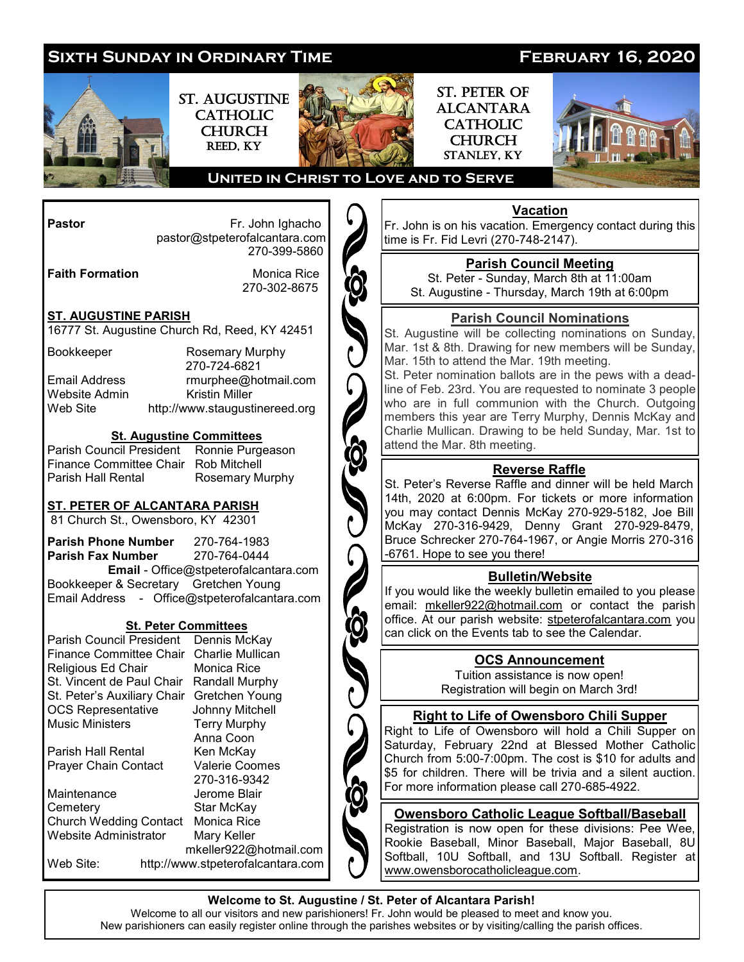

#### **Welcome to St. Augustine / St. Peter of Alcantara Parish!**

Welcome to all our visitors and new parishioners! Fr. John would be pleased to meet and know you. New parishioners can easily register online through the parishes websites or by visiting/calling the parish offices.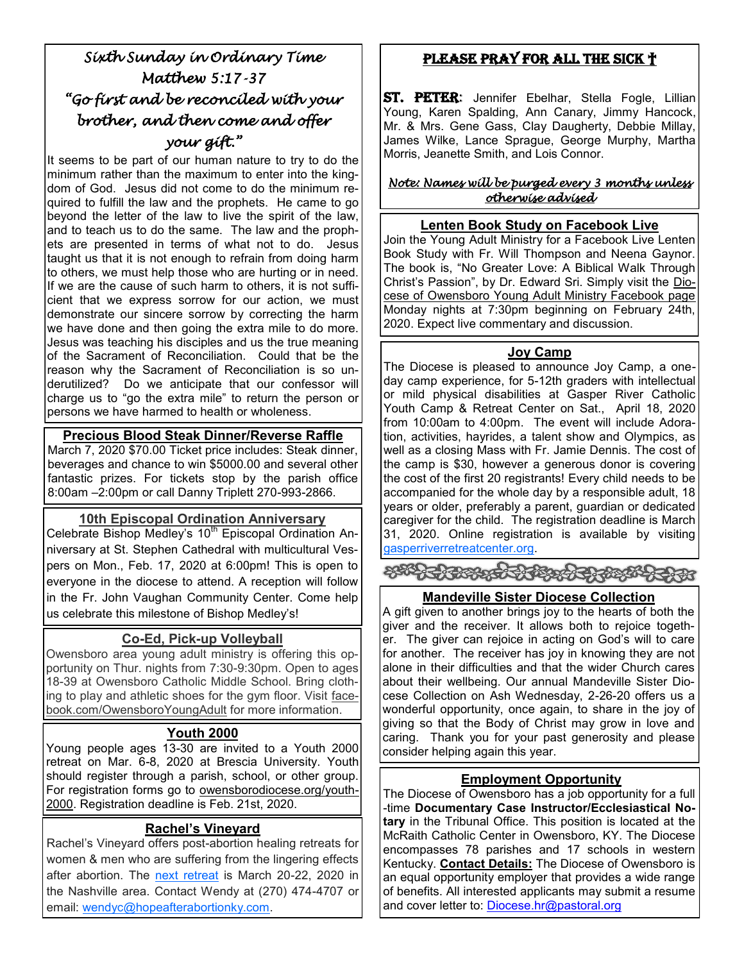# *Sixth Sunday in Ordinary Time Matthew 5:17-37 "Go first and be reconciled with your brother, and then come and offer your gift."*

It seems to be part of our human nature to try to do the minimum rather than the maximum to enter into the kingdom of God. Jesus did not come to do the minimum required to fulfill the law and the prophets. He came to go beyond the letter of the law to live the spirit of the law, and to teach us to do the same. The law and the prophets are presented in terms of what not to do. Jesus taught us that it is not enough to refrain from doing harm to others, we must help those who are hurting or in need. If we are the cause of such harm to others, it is not sufficient that we express sorrow for our action, we must demonstrate our sincere sorrow by correcting the harm we have done and then going the extra mile to do more. Jesus was teaching his disciples and us the true meaning of the Sacrament of Reconciliation. Could that be the reason why the Sacrament of Reconciliation is so underutilized? Do we anticipate that our confessor will charge us to "go the extra mile" to return the person or persons we have harmed to health or wholeness.

## **Precious Blood Steak Dinner/Reverse Raffle**

March 7, 2020 \$70.00 Ticket price includes: Steak dinner, beverages and chance to win \$5000.00 and several other fantastic prizes. For tickets stop by the parish office 8:00am –2:00pm or call Danny Triplett 270-993-2866.

## **10th Episcopal Ordination Anniversary**

Celebrate Bishop Medley's 10<sup>th</sup> Episcopal Ordination Anniversary at St. Stephen Cathedral with multicultural Vespers on Mon., Feb. 17, 2020 at 6:00pm! This is open to everyone in the diocese to attend. A reception will follow in the Fr. John Vaughan Community Center. Come help us celebrate this milestone of Bishop Medley's!

## **Co-Ed, Pick-up Volleyball**

Owensboro area young adult ministry is offering this opportunity on Thur. nights from 7:30-9:30pm. Open to ages 18-39 at Owensboro Catholic Middle School. Bring clothing to play and athletic shoes for the gym floor. Visit facebook.com/OwensboroYoungAdult for more information.

## **Youth 2000**

Young people ages 13-30 are invited to a Youth 2000 retreat on Mar. 6-8, 2020 at Brescia University. Youth should register through a parish, school, or other group. For registration forms go to owensborodiocese.org/youth-2000. Registration deadline is Feb. 21st, 2020.

# **Rachel's Vineyard**

Rachel's Vineyard offers post-abortion healing retreats for women & men who are suffering from the lingering effects after abortion. The [next retreat](https://owensborodiocese.org/wp-content/uploads/RV-flier-March-2020-1.pdf) is March 20-22, 2020 in the Nashville area. Contact Wendy at (270) 474-4707 or email: [wendyc@hopeafterabortionky.com.](mailto:wendyc@hopeafterabortionky.com)

# Please Pray for all the sick †

ST. PETER: Jennifer Ebelhar, Stella Fogle, Lillian Young, Karen Spalding, Ann Canary, Jimmy Hancock, Mr. & Mrs. Gene Gass, Clay Daugherty, Debbie Millay, James Wilke, Lance Sprague, George Murphy, Martha Morris, Jeanette Smith, and Lois Connor.

#### *Note: Names will be purged every 3 months unless otherwise advised*

#### **Lenten Book Study on Facebook Live**

Join the Young Adult Ministry for a Facebook Live Lenten Book Study with Fr. Will Thompson and Neena Gaynor. The book is, "No Greater Love: A Biblical Walk Through Christ's Passion", by Dr. Edward Sri. Simply visit the Diocese of Owensboro Young Adult Ministry Facebook page Monday nights at 7:30pm beginning on February 24th, 2020. Expect live commentary and discussion.

#### **Joy Camp**

The Diocese is pleased to announce Joy Camp, a oneday camp experience, for 5-12th graders with intellectual or mild physical disabilities at Gasper River Catholic Youth Camp & Retreat Center on Sat., April 18, 2020 from 10:00am to 4:00pm. The event will include Adoration, activities, hayrides, a talent show and Olympics, as well as a closing Mass with Fr. Jamie Dennis. The cost of the camp is \$30, however a generous donor is covering the cost of the first 20 registrants! Every child needs to be accompanied for the whole day by a responsible adult, 18 years or older, preferably a parent, guardian or dedicated caregiver for the child. The registration deadline is March 31, 2020. Online registration is available by visiting [gasperriverretreatcenter.org.](http://www.gasperriverretreatcenter.org/)

\*\*\*\*\*\*\*\*\*\*\*\*\*\*\*\*\*\*\*\*\*

## **Mandeville Sister Diocese Collection**

A gift given to another brings joy to the hearts of both the giver and the receiver. It allows both to rejoice together. The giver can rejoice in acting on God's will to care for another. The receiver has joy in knowing they are not alone in their difficulties and that the wider Church cares about their wellbeing. Our annual Mandeville Sister Diocese Collection on Ash Wednesday, 2-26-20 offers us a wonderful opportunity, once again, to share in the joy of giving so that the Body of Christ may grow in love and caring. Thank you for your past generosity and please consider helping again this year.

## **Employment Opportunity**

The Diocese of Owensboro has a job opportunity for a full -time **Documentary Case Instructor/Ecclesiastical Notary** in the Tribunal Office. This position is located at the McRaith Catholic Center in Owensboro, KY. The Diocese encompasses 78 parishes and 17 schools in western Kentucky. **Contact Details:** The Diocese of Owensboro is an equal opportunity employer that provides a wide range of benefits. All interested applicants may submit a resume and cover letter to: [Diocese.hr@pastoral.org](mailto:Diocese.hr@pastoral.org)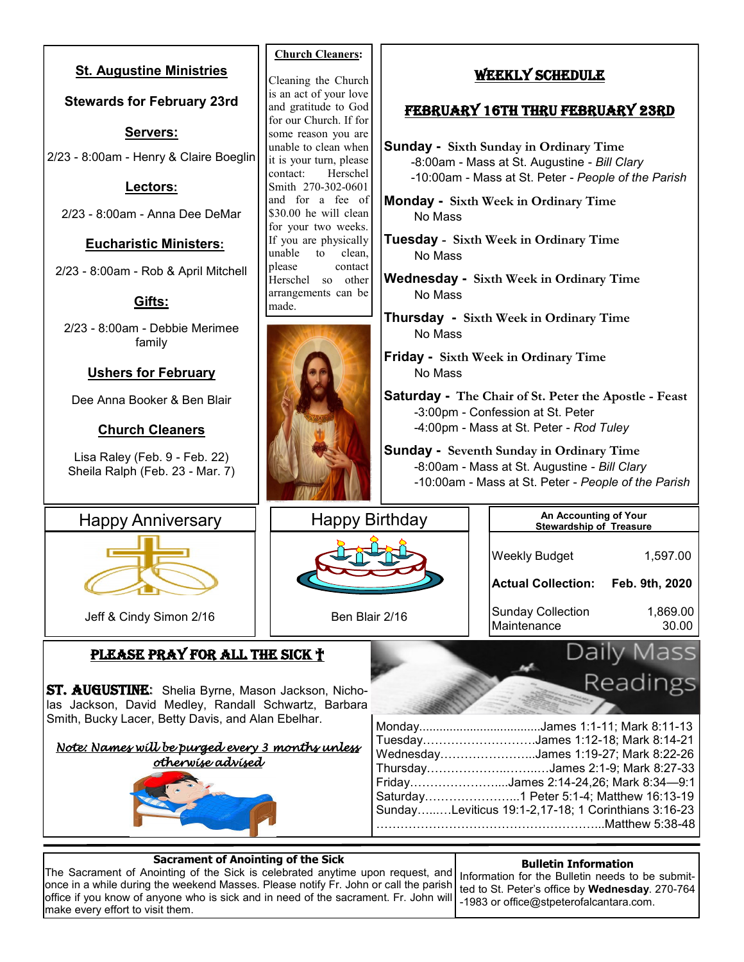